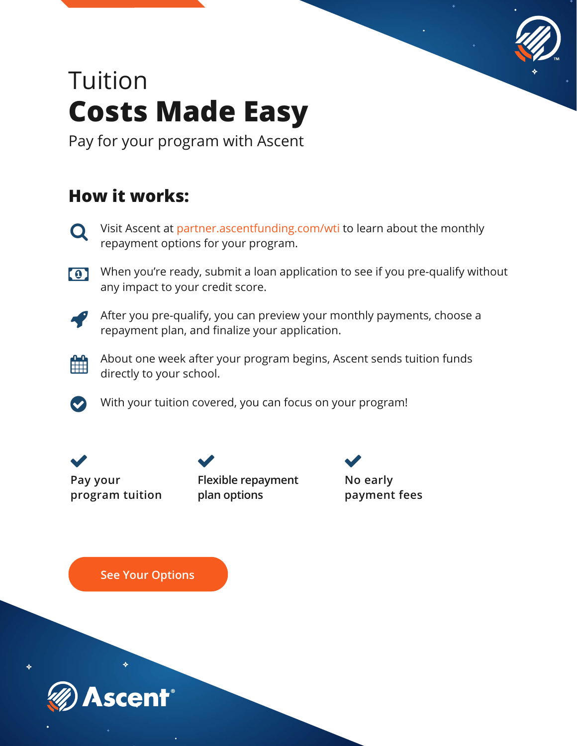

## Tuition **Costs Made Easy**

Pay for your program with Ascent

### **How it works:**

- $\mathbf Q$ Visit Ascent at partner.ascentfunding.com/wti to learn about the monthly repayment options for your program.
- When you're ready, submit a loan application to see if you pre-qualify without any impact to your credit score.



After you pre-qualify, you can preview your monthly payments, choose a repayment plan, and finalize your application.



 $\bullet$ 

About one week after your program begins, Ascent sends tuition funds directly to your school.

With your tuition covered, you can focus on your program!



**Flexible repayment plan options**

**No early payment fees**

**See Your Options**